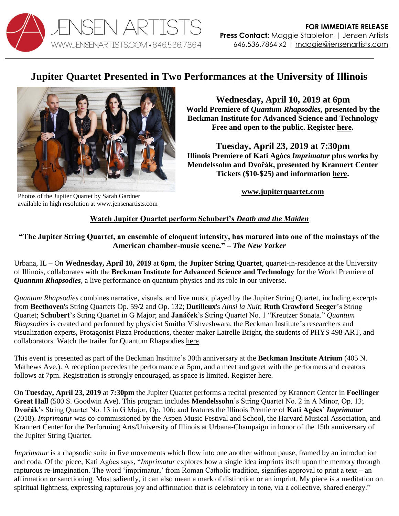

## **Jupiter Quartet Presented in Two Performances at the University of Illinois**



Photos of the Jupiter Quartet by Sarah Gardner available in high resolution at [www.jensenartists.com](http://www.jensenartists.com/)

**Wednesday, April 10, 2019 at 6pm World Premiere of** *Quantum Rhapsodies,* **presented by the Beckman Institute for Advanced Science and Technology Free and open to the public. Register [here.](https://forms.illinois.edu/sec/1449126)**

**Tuesday, April 23, 2019 at 7:30pm Illinois Premiere of Kati Agócs** *Imprimatur* **plus works by Mendelssohn and Dvořák, presented by Krannert Center Tickets (\$10-\$25) and information [here.](https://krannertcenter.com/events/jupiter-string-quartet-0)** 

**[www.jupiterquartet.com](http://www.jupiterquartet.com/)**

## **[Watch Jupiter Quartet perform Schubert's](https://vimeo.com/112745254)** *Death and the Maiden*

**"The Jupiter String Quartet, an ensemble of eloquent intensity, has matured into one of the mainstays of the American chamber-music scene." –** *The New Yorker*

Urbana, IL – On **Wednesday, April 10, 2019** at **6pm**, the **Jupiter String Quartet**, quartet-in-residence at the University of Illinois, collaborates with the **Beckman Institute for Advanced Science and Technology** for the World Premiere of *Quantum Rhapsodies*, a live performance on quantum physics and its role in our universe.

*Quantum Rhapsodies* combines narrative, visuals, and live music played by the Jupiter String Quartet, including excerpts from **Beethoven**'s String Quartets Op. 59/2 and Op. 132; **Dutilleux**'s *Ainsi la Nuit*; **Ruth Crawford Seeger**'s String Quartet; **Schubert**'s String Quartet in G Major; and **Janáček**'s String Quartet No. 1 "Kreutzer Sonata." *Quantum Rhapsodies* is created and performed by physicist Smitha Vishveshwara, the Beckman Institute's researchers and visualization experts, Protagonist Pizza Productions, theater-maker Latrelle Bright, the students of PHYS 498 ART, and collaborators. Watch the trailer for Quantum Rhapsodies [here.](https://beckman.illinois.edu/video/watch/UCzxtLy11nw)

This event is presented as part of the Beckman Institute's 30th anniversary at the **Beckman Institute Atrium** (405 N. Mathews Ave.). A reception precedes the performance at 5pm, and a meet and greet with the performers and creators follows at 7pm. Registration is strongly encouraged, as space is limited. Register [here.](http://go.beckman.illinois.edu/QuantumRhapsodies)

On **Tuesday, April 23, 2019** at **7:30pm** the Jupiter Quartet performs a recital presented by Krannert Center in **Foellinger Great Hall** (500 S. Goodwin Ave). This program includes **Mendelssohn**'s String Quartet No. 2 in A Minor, Op. 13; **Dvořák**'s String Quartet No. 13 in G Major, Op. 106; and features the Illinois Premiere of **Kati Agócs'** *Imprimatur* (2018). *Imprimatur* was co-commissioned by the Aspen Music Festival and School, the Harvard Musical Association, and Krannert Center for the Performing Arts/University of Illinois at Urbana-Champaign in honor of the 15th anniversary of the Jupiter String Quartet.

*Imprimatur* is a rhapsodic suite in five movements which flow into one another without pause, framed by an introduction and coda. Of the piece, Kati Agócs says, "*Imprimatur* explores how a single idea imprints itself upon the memory through rapturous re-imagination. The word 'imprimatur,' from Roman Catholic tradition, signifies approval to print a text – an affirmation or sanctioning. Most saliently, it can also mean a mark of distinction or an imprint. My piece is a meditation on spiritual lightness, expressing rapturous joy and affirmation that is celebratory in tone, via a collective, shared energy."